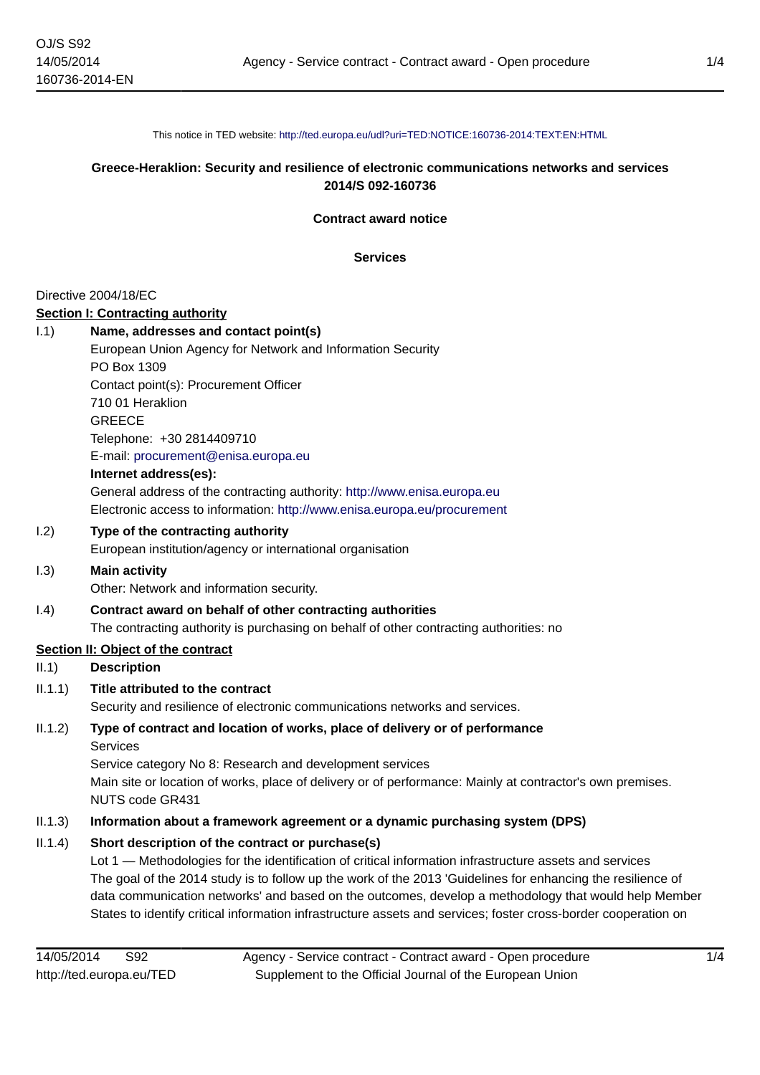This notice in TED website: <http://ted.europa.eu/udl?uri=TED:NOTICE:160736-2014:TEXT:EN:HTML>

## **Greece-Heraklion: Security and resilience of electronic communications networks and services 2014/S 092-160736**

**Contract award notice**

**Services**

#### Directive 2004/18/EC

#### **Section I: Contracting authority**

## I.1) **Name, addresses and contact point(s)**

European Union Agency for Network and Information Security PO Box 1309 Contact point(s): Procurement Officer 710 01 Heraklion **GREECE** Telephone: +30 2814409710 E-mail: [procurement@enisa.europa.eu](mailto:procurement@enisa.europa.eu)

#### **Internet address(es):**

General address of the contracting authority: <http://www.enisa.europa.eu> Electronic access to information:<http://www.enisa.europa.eu/procurement>

#### I.2) **Type of the contracting authority**

European institution/agency or international organisation

#### I.3) **Main activity**

Other: Network and information security.

# I.4) **Contract award on behalf of other contracting authorities**

The contracting authority is purchasing on behalf of other contracting authorities: no

# **Section II: Object of the contract**

II.1) **Description**

#### II.1.1) **Title attributed to the contract**

Security and resilience of electronic communications networks and services.

# II.1.2) **Type of contract and location of works, place of delivery or of performance Services**

Service category No 8: Research and development services Main site or location of works, place of delivery or of performance: Mainly at contractor's own premises. NUTS code GR431

## II.1.3) **Information about a framework agreement or a dynamic purchasing system (DPS)**

## II.1.4) **Short description of the contract or purchase(s)**

Lot 1 — Methodologies for the identification of critical information infrastructure assets and services The goal of the 2014 study is to follow up the work of the 2013 'Guidelines for enhancing the resilience of data communication networks' and based on the outcomes, develop a methodology that would help Member States to identify critical information infrastructure assets and services; foster cross-border cooperation on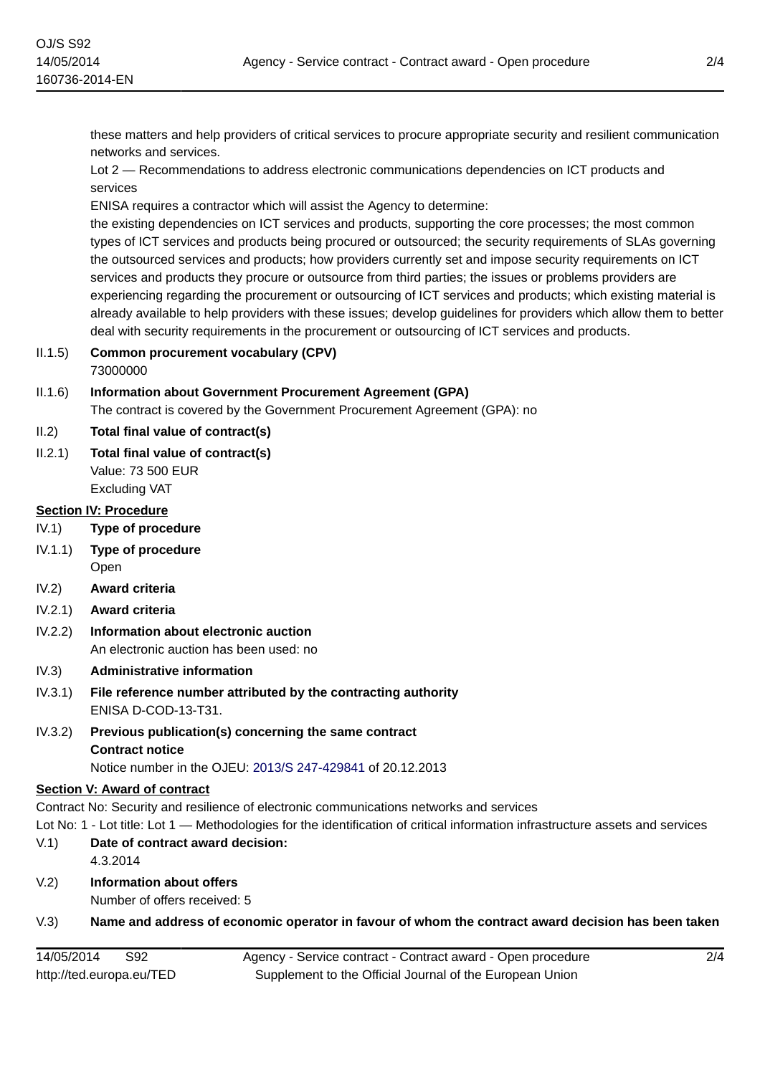these matters and help providers of critical services to procure appropriate security and resilient communication networks and services.

Lot 2 — Recommendations to address electronic communications dependencies on ICT products and services

ENISA requires a contractor which will assist the Agency to determine:

the existing dependencies on ICT services and products, supporting the core processes; the most common types of ICT services and products being procured or outsourced; the security requirements of SLAs governing the outsourced services and products; how providers currently set and impose security requirements on ICT services and products they procure or outsource from third parties; the issues or problems providers are experiencing regarding the procurement or outsourcing of ICT services and products; which existing material is already available to help providers with these issues; develop guidelines for providers which allow them to better deal with security requirements in the procurement or outsourcing of ICT services and products.

II.1.5) **Common procurement vocabulary (CPV)** 73000000

## II.1.6) **Information about Government Procurement Agreement (GPA)**

The contract is covered by the Government Procurement Agreement (GPA): no

- II.2) **Total final value of contract(s)**
- II.2.1) **Total final value of contract(s)** Value: 73 500 EUR Excluding VAT

#### **Section IV: Procedure**

- IV.1) **Type of procedure**
- IV.1.1) **Type of procedure** Open
- IV.2) **Award criteria**
- IV.2.1) **Award criteria**
- IV.2.2) **Information about electronic auction** An electronic auction has been used: no
- IV.3) **Administrative information**
- IV.3.1) **File reference number attributed by the contracting authority** ENISA D-COD-13-T31.
- IV.3.2) **Previous publication(s) concerning the same contract Contract notice** Notice number in the OJEU: [2013/S 247-429841](http://ted.europa.eu/udl?uri=TED:NOTICE:429841-2013:TEXT:EN:HTML) of 20.12.2013

# **Section V: Award of contract**

Contract No: Security and resilience of electronic communications networks and services

Lot No: 1 - Lot title: Lot 1 — Methodologies for the identification of critical information infrastructure assets and services

- V.1) **Date of contract award decision:** 4.3.2014
- V.2) **Information about offers**
	- Number of offers received: 5

## V.3) **Name and address of economic operator in favour of whom the contract award decision has been taken**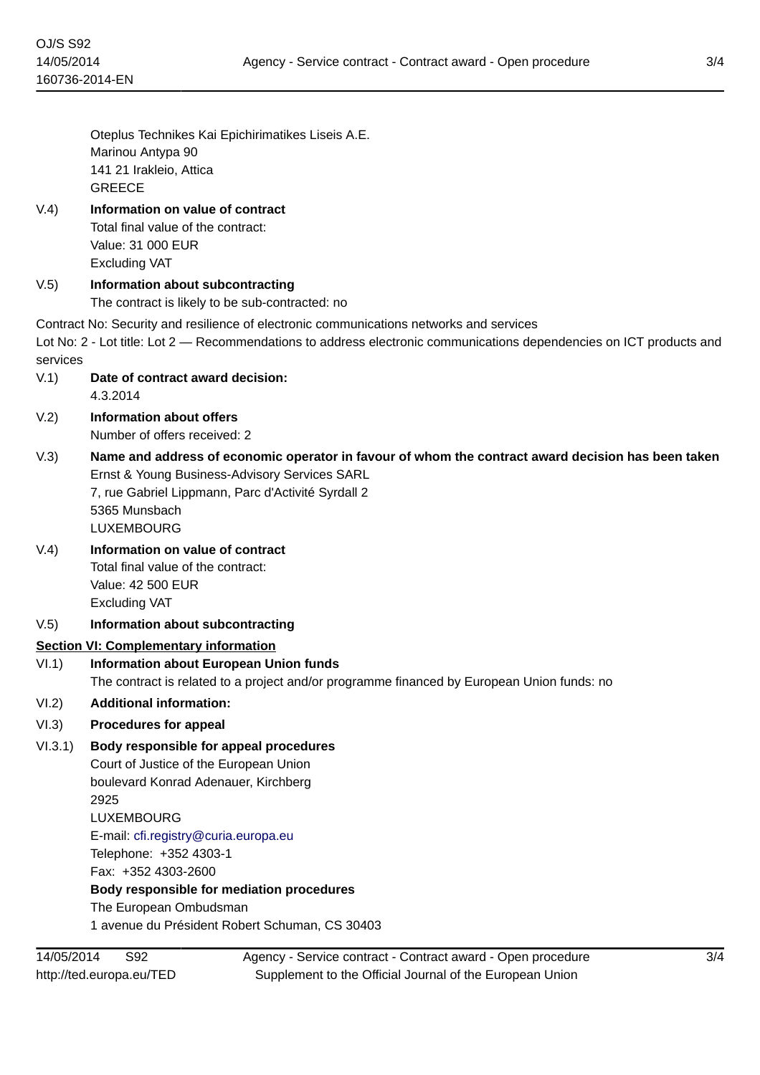Oteplus Technikes Kai Epichirimatikes Liseis A.E. Marinou Antypa 90 141 21 Irakleio, Attica **GREECE** 

# V.4) **Information on value of contract**

Total final value of the contract: Value: 31 000 EUR Excluding VAT

# V.5) **Information about subcontracting**

The contract is likely to be sub-contracted: no

Contract No: Security and resilience of electronic communications networks and services

Lot No: 2 - Lot title: Lot 2 — Recommendations to address electronic communications dependencies on ICT products and services

V.1) **Date of contract award decision:**

4.3.2014

- V.2) **Information about offers** Number of offers received: 2
- V.3) **Name and address of economic operator in favour of whom the contract award decision has been taken** Ernst & Young Business-Advisory Services SARL

7, rue Gabriel Lippmann, Parc d'Activité Syrdall 2 5365 Munsbach LUXEMBOURG

- V.4) **Information on value of contract** Total final value of the contract: Value: 42 500 EUR Excluding VAT
- V.5) **Information about subcontracting**

## **Section VI: Complementary information**

## VI.1) **Information about European Union funds**

The contract is related to a project and/or programme financed by European Union funds: no

VI.2) **Additional information:**

## VI.3) **Procedures for appeal**

VI.3.1) **Body responsible for appeal procedures**

Court of Justice of the European Union boulevard Konrad Adenauer, Kirchberg 2925 LUXEMBOURG E-mail: [cfi.registry@curia.europa.eu](mailto:cfi.registry@curia.europa.eu) Telephone: +352 4303-1 Fax: +352 4303-2600

**Body responsible for mediation procedures**

The European Ombudsman

1 avenue du Président Robert Schuman, CS 30403